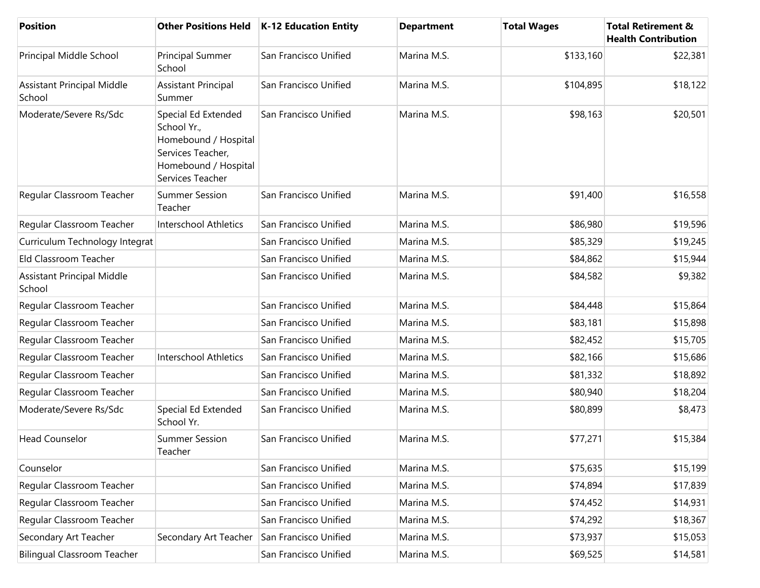| <b>Position</b>                             | <b>Other Positions Held</b>                                                                                                 | K-12 Education Entity | <b>Department</b> | <b>Total Wages</b> | <b>Total Retirement &amp;</b><br><b>Health Contribution</b> |
|---------------------------------------------|-----------------------------------------------------------------------------------------------------------------------------|-----------------------|-------------------|--------------------|-------------------------------------------------------------|
| Principal Middle School                     | Principal Summer<br>School                                                                                                  | San Francisco Unified | Marina M.S.       | \$133,160          | \$22,381                                                    |
| <b>Assistant Principal Middle</b><br>School | <b>Assistant Principal</b><br>Summer                                                                                        | San Francisco Unified | Marina M.S.       | \$104,895          | \$18,122                                                    |
| Moderate/Severe Rs/Sdc                      | Special Ed Extended<br>School Yr.,<br>Homebound / Hospital<br>Services Teacher,<br>Homebound / Hospital<br>Services Teacher | San Francisco Unified | Marina M.S.       | \$98,163           | \$20,501                                                    |
| Regular Classroom Teacher                   | <b>Summer Session</b><br>Teacher                                                                                            | San Francisco Unified | Marina M.S.       | \$91,400           | \$16,558                                                    |
| Regular Classroom Teacher                   | <b>Interschool Athletics</b>                                                                                                | San Francisco Unified | Marina M.S.       | \$86,980           | \$19,596                                                    |
| Curriculum Technology Integrat              |                                                                                                                             | San Francisco Unified | Marina M.S.       | \$85,329           | \$19,245                                                    |
| Eld Classroom Teacher                       |                                                                                                                             | San Francisco Unified | Marina M.S.       | \$84,862           | \$15,944                                                    |
| <b>Assistant Principal Middle</b><br>School |                                                                                                                             | San Francisco Unified | Marina M.S.       | \$84,582           | \$9,382                                                     |
| Regular Classroom Teacher                   |                                                                                                                             | San Francisco Unified | Marina M.S.       | \$84,448           | \$15,864                                                    |
| Regular Classroom Teacher                   |                                                                                                                             | San Francisco Unified | Marina M.S.       | \$83,181           | \$15,898                                                    |
| Regular Classroom Teacher                   |                                                                                                                             | San Francisco Unified | Marina M.S.       | \$82,452           | \$15,705                                                    |
| Regular Classroom Teacher                   | <b>Interschool Athletics</b>                                                                                                | San Francisco Unified | Marina M.S.       | \$82,166           | \$15,686                                                    |
| Regular Classroom Teacher                   |                                                                                                                             | San Francisco Unified | Marina M.S.       | \$81,332           | \$18,892                                                    |
| Regular Classroom Teacher                   |                                                                                                                             | San Francisco Unified | Marina M.S.       | \$80,940           | \$18,204                                                    |
| Moderate/Severe Rs/Sdc                      | Special Ed Extended<br>School Yr.                                                                                           | San Francisco Unified | Marina M.S.       | \$80,899           | \$8,473                                                     |
| <b>Head Counselor</b>                       | <b>Summer Session</b><br>Teacher                                                                                            | San Francisco Unified | Marina M.S.       | \$77,271           | \$15,384                                                    |
| Counselor                                   |                                                                                                                             | San Francisco Unified | Marina M.S.       | \$75,635           | \$15,199                                                    |
| Regular Classroom Teacher                   |                                                                                                                             | San Francisco Unified | Marina M.S.       | \$74,894           | \$17,839                                                    |
| Regular Classroom Teacher                   |                                                                                                                             | San Francisco Unified | Marina M.S.       | \$74,452           | \$14,931                                                    |
| Regular Classroom Teacher                   |                                                                                                                             | San Francisco Unified | Marina M.S.       | \$74,292           | \$18,367                                                    |
| Secondary Art Teacher                       | Secondary Art Teacher                                                                                                       | San Francisco Unified | Marina M.S.       | \$73,937           | \$15,053                                                    |
| <b>Bilingual Classroom Teacher</b>          |                                                                                                                             | San Francisco Unified | Marina M.S.       | \$69,525           | \$14,581                                                    |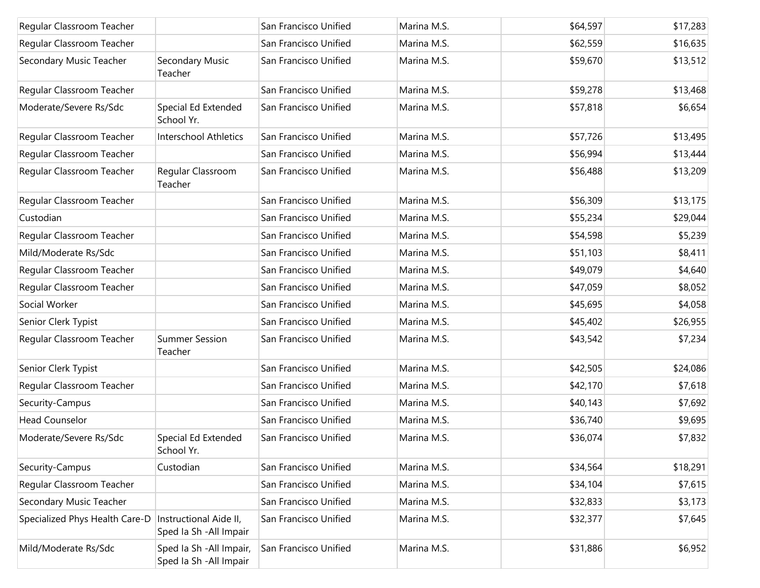| Regular Classroom Teacher      |                                                     | San Francisco Unified | Marina M.S. | \$64,597 | \$17,283 |
|--------------------------------|-----------------------------------------------------|-----------------------|-------------|----------|----------|
| Regular Classroom Teacher      |                                                     | San Francisco Unified | Marina M.S. | \$62,559 | \$16,635 |
| Secondary Music Teacher        | Secondary Music<br>Teacher                          | San Francisco Unified | Marina M.S. | \$59,670 | \$13,512 |
| Regular Classroom Teacher      |                                                     | San Francisco Unified | Marina M.S. | \$59,278 | \$13,468 |
| Moderate/Severe Rs/Sdc         | Special Ed Extended<br>School Yr.                   | San Francisco Unified | Marina M.S. | \$57,818 | \$6,654  |
| Regular Classroom Teacher      | Interschool Athletics                               | San Francisco Unified | Marina M.S. | \$57,726 | \$13,495 |
| Regular Classroom Teacher      |                                                     | San Francisco Unified | Marina M.S. | \$56,994 | \$13,444 |
| Regular Classroom Teacher      | Regular Classroom<br>Teacher                        | San Francisco Unified | Marina M.S. | \$56,488 | \$13,209 |
| Regular Classroom Teacher      |                                                     | San Francisco Unified | Marina M.S. | \$56,309 | \$13,175 |
| Custodian                      |                                                     | San Francisco Unified | Marina M.S. | \$55,234 | \$29,044 |
| Regular Classroom Teacher      |                                                     | San Francisco Unified | Marina M.S. | \$54,598 | \$5,239  |
| Mild/Moderate Rs/Sdc           |                                                     | San Francisco Unified | Marina M.S. | \$51,103 | \$8,411  |
| Regular Classroom Teacher      |                                                     | San Francisco Unified | Marina M.S. | \$49,079 | \$4,640  |
| Regular Classroom Teacher      |                                                     | San Francisco Unified | Marina M.S. | \$47,059 | \$8,052  |
| Social Worker                  |                                                     | San Francisco Unified | Marina M.S. | \$45,695 | \$4,058  |
| Senior Clerk Typist            |                                                     | San Francisco Unified | Marina M.S. | \$45,402 | \$26,955 |
| Regular Classroom Teacher      | <b>Summer Session</b><br>Teacher                    | San Francisco Unified | Marina M.S. | \$43,542 | \$7,234  |
| Senior Clerk Typist            |                                                     | San Francisco Unified | Marina M.S. | \$42,505 | \$24,086 |
| Regular Classroom Teacher      |                                                     | San Francisco Unified | Marina M.S. | \$42,170 | \$7,618  |
| Security-Campus                |                                                     | San Francisco Unified | Marina M.S. | \$40,143 | \$7,692  |
| <b>Head Counselor</b>          |                                                     | San Francisco Unified | Marina M.S. | \$36,740 | \$9,695  |
| Moderate/Severe Rs/Sdc         | Special Ed Extended<br>School Yr.                   | San Francisco Unified | Marina M.S. | \$36,074 | \$7,832  |
| Security-Campus                | Custodian                                           | San Francisco Unified | Marina M.S. | \$34,564 | \$18,291 |
| Regular Classroom Teacher      |                                                     | San Francisco Unified | Marina M.S. | \$34,104 | \$7,615  |
| Secondary Music Teacher        |                                                     | San Francisco Unified | Marina M.S. | \$32,833 | \$3,173  |
| Specialized Phys Health Care-D | Instructional Aide II,<br>Sped Ia Sh - All Impair   | San Francisco Unified | Marina M.S. | \$32,377 | \$7,645  |
| Mild/Moderate Rs/Sdc           | Sped Ia Sh - All Impair,<br>Sped Ia Sh - All Impair | San Francisco Unified | Marina M.S. | \$31,886 | \$6,952  |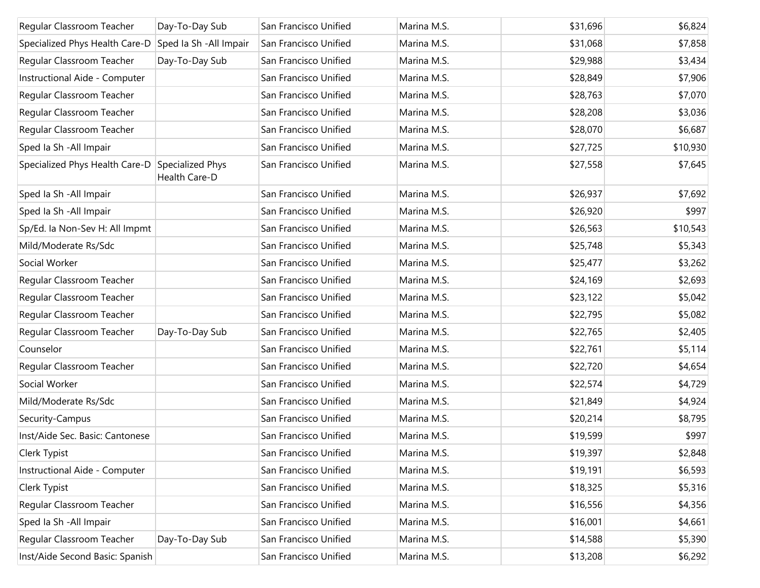| Regular Classroom Teacher                             | Day-To-Day Sub | San Francisco Unified | Marina M.S. | \$31,696 | \$6,824  |
|-------------------------------------------------------|----------------|-----------------------|-------------|----------|----------|
| Specialized Phys Health Care-D Sped la Sh -All Impair |                | San Francisco Unified | Marina M.S. | \$31,068 | \$7,858  |
| Regular Classroom Teacher                             | Day-To-Day Sub | San Francisco Unified | Marina M.S. | \$29,988 | \$3,434  |
| Instructional Aide - Computer                         |                | San Francisco Unified | Marina M.S. | \$28,849 | \$7,906  |
| Regular Classroom Teacher                             |                | San Francisco Unified | Marina M.S. | \$28,763 | \$7,070  |
| Regular Classroom Teacher                             |                | San Francisco Unified | Marina M.S. | \$28,208 | \$3,036  |
| Regular Classroom Teacher                             |                | San Francisco Unified | Marina M.S. | \$28,070 | \$6,687  |
| Sped Ia Sh - All Impair                               |                | San Francisco Unified | Marina M.S. | \$27,725 | \$10,930 |
| Specialized Phys Health Care-D Specialized Phys       | Health Care-D  | San Francisco Unified | Marina M.S. | \$27,558 | \$7,645  |
| Sped Ia Sh - All Impair                               |                | San Francisco Unified | Marina M.S. | \$26,937 | \$7,692  |
| Sped Ia Sh - All Impair                               |                | San Francisco Unified | Marina M.S. | \$26,920 | \$997    |
| Sp/Ed. la Non-Sev H: All Impmt                        |                | San Francisco Unified | Marina M.S. | \$26,563 | \$10,543 |
| Mild/Moderate Rs/Sdc                                  |                | San Francisco Unified | Marina M.S. | \$25,748 | \$5,343  |
| Social Worker                                         |                | San Francisco Unified | Marina M.S. | \$25,477 | \$3,262  |
| Regular Classroom Teacher                             |                | San Francisco Unified | Marina M.S. | \$24,169 | \$2,693  |
| Regular Classroom Teacher                             |                | San Francisco Unified | Marina M.S. | \$23,122 | \$5,042  |
| Regular Classroom Teacher                             |                | San Francisco Unified | Marina M.S. | \$22,795 | \$5,082  |
| Regular Classroom Teacher                             | Day-To-Day Sub | San Francisco Unified | Marina M.S. | \$22,765 | \$2,405  |
| Counselor                                             |                | San Francisco Unified | Marina M.S. | \$22,761 | \$5,114  |
| Regular Classroom Teacher                             |                | San Francisco Unified | Marina M.S. | \$22,720 | \$4,654  |
| Social Worker                                         |                | San Francisco Unified | Marina M.S. | \$22,574 | \$4,729  |
| Mild/Moderate Rs/Sdc                                  |                | San Francisco Unified | Marina M.S. | \$21,849 | \$4,924  |
| Security-Campus                                       |                | San Francisco Unified | Marina M.S. | \$20,214 | \$8,795  |
| Inst/Aide Sec. Basic: Cantonese                       |                | San Francisco Unified | Marina M.S. | \$19,599 | \$997    |
| Clerk Typist                                          |                | San Francisco Unified | Marina M.S. | \$19,397 | \$2,848  |
| Instructional Aide - Computer                         |                | San Francisco Unified | Marina M.S. | \$19,191 | \$6,593  |
| Clerk Typist                                          |                | San Francisco Unified | Marina M.S. | \$18,325 | \$5,316  |
| Regular Classroom Teacher                             |                | San Francisco Unified | Marina M.S. | \$16,556 | \$4,356  |
| Sped Ia Sh - All Impair                               |                | San Francisco Unified | Marina M.S. | \$16,001 | \$4,661  |
| Regular Classroom Teacher                             | Day-To-Day Sub | San Francisco Unified | Marina M.S. | \$14,588 | \$5,390  |
| Inst/Aide Second Basic: Spanish                       |                | San Francisco Unified | Marina M.S. | \$13,208 | \$6,292  |